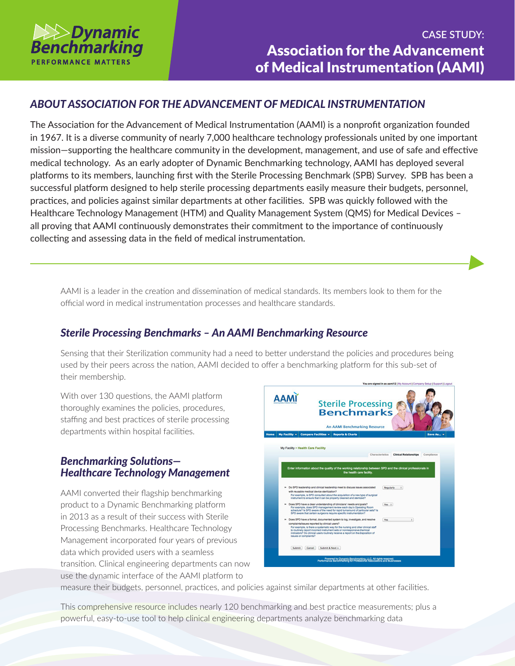

# *ABOUT ASSOCIATION FOR THE ADVANCEMENT OF MEDICAL INSTRUMENTATION*

The Association for the Advancement of Medical Instrumentation (AAMI) is a nonprofit organization founded in 1967. It is a diverse community of nearly 7,000 healthcare technology professionals united by one important mission—supporting the healthcare community in the development, management, and use of safe and effective medical technology. As an early adopter of Dynamic Benchmarking technology, AAMI has deployed several platforms to its members, launching first with the Sterile Processing Benchmark (SPB) Survey. SPB has been a successful platform designed to help sterile processing departments easily measure their budgets, personnel, practices, and policies against similar departments at other facilities. SPB was quickly followed with the Healthcare Technology Management (HTM) and Quality Management System (QMS) for Medical Devices – all proving that AAMI continuously demonstrates their commitment to the importance of continuously collecting and assessing data in the field of medical instrumentation.

AAMI is a leader in the creation and dissemination of medical standards. Its members look to them for the official word in medical instrumentation processes and healthcare standards.

### *Sterile Processing Benchmarks – An AAMI Benchmarking Resource*

Sensing that their Sterilization community had a need to better understand the policies and procedures being used by their peers across the nation, AAMI decided to offer a benchmarking platform for this sub-set of their membership.

With over 130 questions, the AAMI platform thoroughly examines the policies, procedures, staffing and best practices of sterile processing departments within hospital facilities.

## *Benchmarking Solutions— Healthcare Technology Management*

AAMI converted their flagship benchmarking product to a Dynamic Benchmarking platform in 2013 as a result of their success with Sterile Processing Benchmarks. Healthcare Technology Management incorporated four years of previous data which provided users with a seamless transition. Clinical engineering departments can now use the dynamic interface of the AAMI platform to



measure their budgets, personnel, practices, and policies against similar departments at other facilities.

This comprehensive resource includes nearly 120 benchmarking and best practice measurements; plus a powerful, easy-to-use tool to help clinical engineering departments analyze benchmarking data